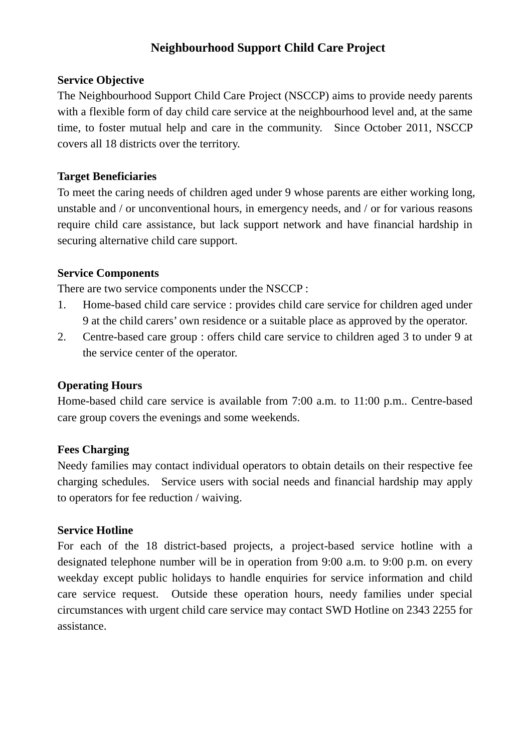## **Neighbourhood Support Child Care Project**

#### **Service Objective**

The Neighbourhood Support Child Care Project (NSCCP) aims to provide needy parents with a flexible form of day child care service at the neighbourhood level and, at the same time, to foster mutual help and care in the community. Since October 2011, NSCCP covers all 18 districts over the territory.

### **Target Beneficiaries**

To meet the caring needs of children aged under 9 whose parents are either working long, unstable and / or unconventional hours, in emergency needs, and / or for various reasons require child care assistance, but lack support network and have financial hardship in securing alternative child care support.

### **Service Components**

There are two service components under the NSCCP :

- 1. Home-based child care service : provides child care service for children aged under 9 at the child carers' own residence or a suitable place as approved by the operator.
- 2. Centre-based care group : offers child care service to children aged 3 to under 9 at the service center of the operator.

### **Operating Hours**

Home-based child care service is available from 7:00 a.m. to 11:00 p.m.. Centre-based care group covers the evenings and some weekends.

### **Fees Charging**

Needy families may contact individual operators to obtain details on their respective fee charging schedules. Service users with social needs and financial hardship may apply to operators for fee reduction / waiving.

### **Service Hotline**

For each of the 18 district-based projects, a project-based service hotline with a designated telephone number will be in operation from 9:00 a.m. to 9:00 p.m. on every weekday except public holidays to handle enquiries for service information and child care service request. Outside these operation hours, needy families under special circumstances with urgent child care service may contact SWD Hotline on 2343 2255 for assistance.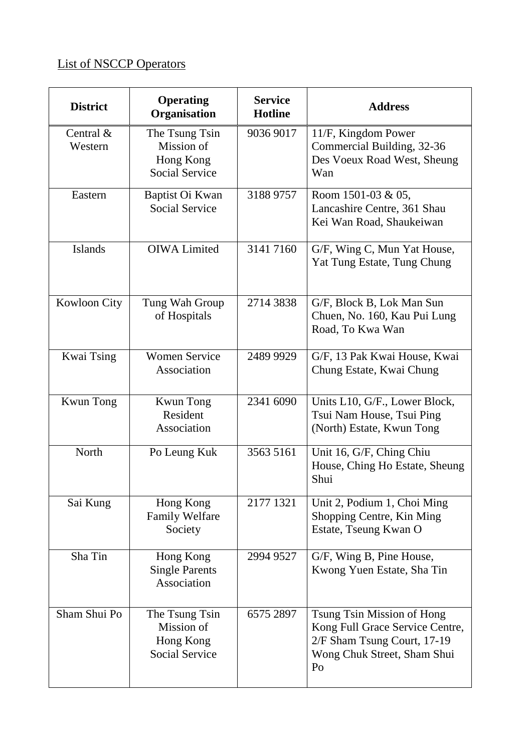# List of NSCCP Operators

| <b>District</b>         | <b>Operating</b><br>Organisation                                   | <b>Service</b><br><b>Hotline</b> | <b>Address</b>                                                                                                                    |
|-------------------------|--------------------------------------------------------------------|----------------------------------|-----------------------------------------------------------------------------------------------------------------------------------|
| Central $\&$<br>Western | The Tsung Tsin<br>Mission of<br>Hong Kong<br><b>Social Service</b> | 9036 9017                        | 11/F, Kingdom Power<br>Commercial Building, 32-36<br>Des Voeux Road West, Sheung<br>Wan                                           |
| Eastern                 | Baptist Oi Kwan<br><b>Social Service</b>                           | 3188 9757                        | Room 1501-03 & 05,<br>Lancashire Centre, 361 Shau<br>Kei Wan Road, Shaukeiwan                                                     |
| <b>Islands</b>          | <b>OIWA Limited</b>                                                | 3141 7160                        | G/F, Wing C, Mun Yat House,<br>Yat Tung Estate, Tung Chung                                                                        |
| Kowloon City            | Tung Wah Group<br>of Hospitals                                     | 2714 3838                        | G/F, Block B, Lok Man Sun<br>Chuen, No. 160, Kau Pui Lung<br>Road, To Kwa Wan                                                     |
| Kwai Tsing              | <b>Women Service</b><br>Association                                | 2489 9929                        | G/F, 13 Pak Kwai House, Kwai<br>Chung Estate, Kwai Chung                                                                          |
| <b>Kwun Tong</b>        | <b>Kwun Tong</b><br>Resident<br>Association                        | 2341 6090                        | Units L10, G/F., Lower Block,<br>Tsui Nam House, Tsui Ping<br>(North) Estate, Kwun Tong                                           |
| North                   | Po Leung Kuk                                                       | 3563 5161                        | Unit 16, G/F, Ching Chiu<br>House, Ching Ho Estate, Sheung<br>Shui                                                                |
| Sai Kung                | Hong Kong<br><b>Family Welfare</b><br>Society                      | 2177 1321                        | Unit 2, Podium 1, Choi Ming<br>Shopping Centre, Kin Ming<br>Estate, Tseung Kwan O                                                 |
| Sha Tin                 | Hong Kong<br><b>Single Parents</b><br>Association                  | 2994 9527                        | G/F, Wing B, Pine House,<br>Kwong Yuen Estate, Sha Tin                                                                            |
| Sham Shui Po            | The Tsung Tsin<br>Mission of<br>Hong Kong<br><b>Social Service</b> | 6575 2897                        | Tsung Tsin Mission of Hong<br>Kong Full Grace Service Centre,<br>2/F Sham Tsung Court, 17-19<br>Wong Chuk Street, Sham Shui<br>Po |